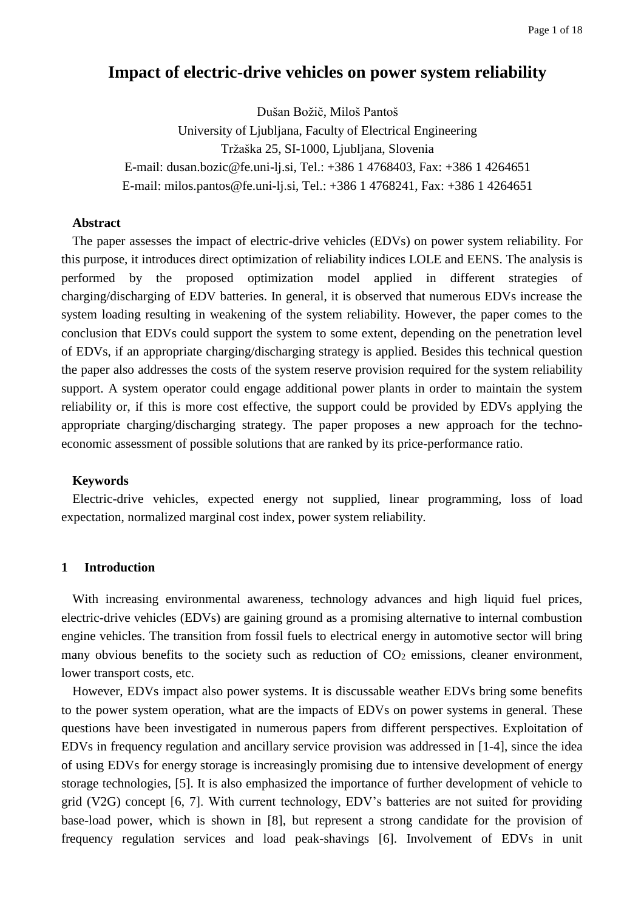# **Impact of electric-drive vehicles on power system reliability**

Dušan Božič, Miloš Pantoš University of Ljubljana, Faculty of Electrical Engineering Tržaška 25, SI-1000, Ljubljana, Slovenia E-mail: dusan.bozic@fe.uni-lj.si, Tel.: +386 1 4768403, Fax: +386 1 4264651 E-mail: milos.pantos@fe.uni-lj.si, Tel.: +386 1 4768241, Fax: +386 1 4264651

# **Abstract**

The paper assesses the impact of electric-drive vehicles (EDVs) on power system reliability. For this purpose, it introduces direct optimization of reliability indices LOLE and EENS. The analysis is performed by the proposed optimization model applied in different strategies of charging/discharging of EDV batteries. In general, it is observed that numerous EDVs increase the system loading resulting in weakening of the system reliability. However, the paper comes to the conclusion that EDVs could support the system to some extent, depending on the penetration level of EDVs, if an appropriate charging/discharging strategy is applied. Besides this technical question the paper also addresses the costs of the system reserve provision required for the system reliability support. A system operator could engage additional power plants in order to maintain the system reliability or, if this is more cost effective, the support could be provided by EDVs applying the appropriate charging/discharging strategy. The paper proposes a new approach for the technoeconomic assessment of possible solutions that are ranked by its price-performance ratio.

## **Keywords**

Electric-drive vehicles, expected energy not supplied, linear programming, loss of load expectation, normalized marginal cost index, power system reliability.

## **1 Introduction**

With increasing environmental awareness, technology advances and high liquid fuel prices, electric-drive vehicles (EDVs) are gaining ground as a promising alternative to internal combustion engine vehicles. The transition from fossil fuels to electrical energy in automotive sector will bring many obvious benefits to the society such as reduction of  $CO<sub>2</sub>$  emissions, cleaner environment, lower transport costs, etc.

However, EDVs impact also power systems. It is discussable weather EDVs bring some benefits to the power system operation, what are the impacts of EDVs on power systems in general. These questions have been investigated in numerous papers from different perspectives. Exploitation of EDVs in frequency regulation and ancillary service provision was addressed in [1-4], since the idea of using EDVs for energy storage is increasingly promising due to intensive development of energy storage technologies, [5]. It is also emphasized the importance of further development of vehicle to grid (V2G) concept [6, 7]. With current technology, EDV's batteries are not suited for providing base-load power, which is shown in [8], but represent a strong candidate for the provision of frequency regulation services and load peak-shavings [6]. Involvement of EDVs in unit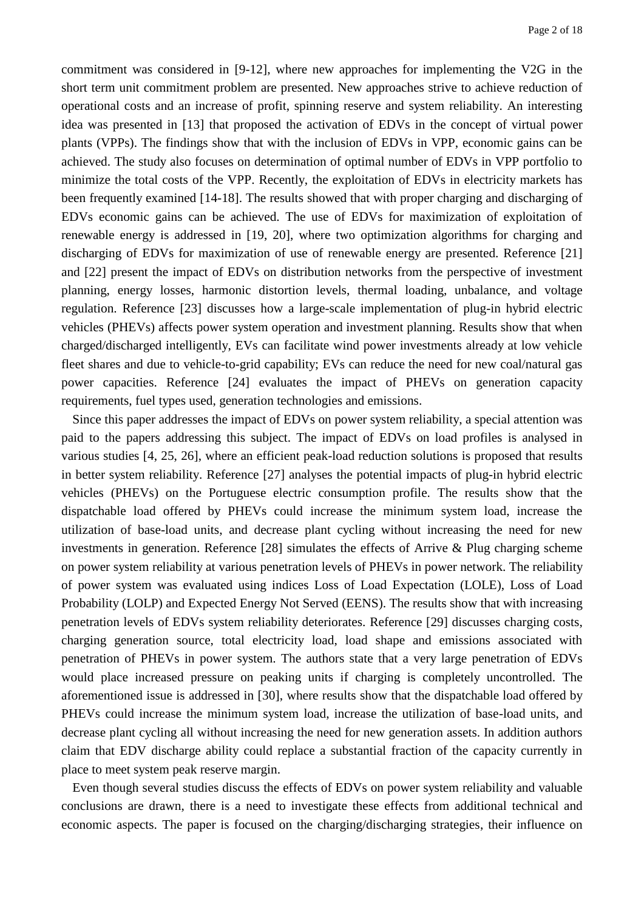commitment was considered in [9-12], where new approaches for implementing the V2G in the short term unit commitment problem are presented. New approaches strive to achieve reduction of operational costs and an increase of profit, spinning reserve and system reliability. An interesting idea was presented in [13] that proposed the activation of EDVs in the concept of virtual power plants (VPPs). The findings show that with the inclusion of EDVs in VPP, economic gains can be achieved. The study also focuses on determination of optimal number of EDVs in VPP portfolio to minimize the total costs of the VPP. Recently, the exploitation of EDVs in electricity markets has been frequently examined [14-18]. The results showed that with proper charging and discharging of EDVs economic gains can be achieved. The use of EDVs for maximization of exploitation of renewable energy is addressed in [19, 20], where two optimization algorithms for charging and discharging of EDVs for maximization of use of renewable energy are presented. Reference [21] and [22] present the impact of EDVs on distribution networks from the perspective of investment planning, energy losses, harmonic distortion levels, thermal loading, unbalance, and voltage regulation. Reference [23] discusses how a large-scale implementation of plug-in hybrid electric vehicles (PHEVs) affects power system operation and investment planning. Results show that when charged/discharged intelligently, EVs can facilitate wind power investments already at low vehicle fleet shares and due to vehicle-to-grid capability; EVs can reduce the need for new coal/natural gas power capacities. Reference [24] evaluates the impact of PHEVs on generation capacity requirements, fuel types used, generation technologies and emissions.

Since this paper addresses the impact of EDVs on power system reliability, a special attention was paid to the papers addressing this subject. The impact of EDVs on load profiles is analysed in various studies [4, 25, 26], where an efficient peak-load reduction solutions is proposed that results in better system reliability. Reference [27] analyses the potential impacts of plug-in hybrid electric vehicles (PHEVs) on the Portuguese electric consumption profile. The results show that the dispatchable load offered by PHEVs could increase the minimum system load, increase the utilization of base-load units, and decrease plant cycling without increasing the need for new investments in generation. Reference [28] simulates the effects of Arrive & Plug charging scheme on power system reliability at various penetration levels of PHEVs in power network. The reliability of power system was evaluated using indices Loss of Load Expectation (LOLE), Loss of Load Probability (LOLP) and Expected Energy Not Served (EENS). The results show that with increasing penetration levels of EDVs system reliability deteriorates. Reference [29] discusses charging costs, charging generation source, total electricity load, load shape and emissions associated with penetration of PHEVs in power system. The authors state that a very large penetration of EDVs would place increased pressure on peaking units if charging is completely uncontrolled. The aforementioned issue is addressed in [30], where results show that the dispatchable load offered by PHEVs could increase the minimum system load, increase the utilization of base-load units, and decrease plant cycling all without increasing the need for new generation assets. In addition authors claim that EDV discharge ability could replace a substantial fraction of the capacity currently in place to meet system peak reserve margin.

Even though several studies discuss the effects of EDVs on power system reliability and valuable conclusions are drawn, there is a need to investigate these effects from additional technical and economic aspects. The paper is focused on the charging/discharging strategies, their influence on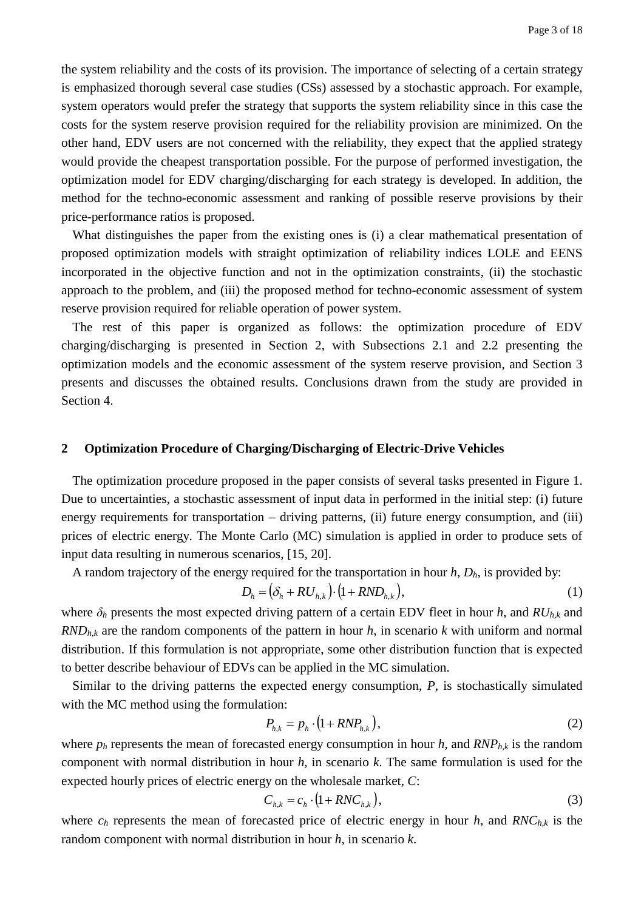the system reliability and the costs of its provision. The importance of selecting of a certain strategy is emphasized thorough several case studies (CSs) assessed by a stochastic approach. For example, system operators would prefer the strategy that supports the system reliability since in this case the costs for the system reserve provision required for the reliability provision are minimized. On the other hand, EDV users are not concerned with the reliability, they expect that the applied strategy would provide the cheapest transportation possible. For the purpose of performed investigation, the optimization model for EDV charging/discharging for each strategy is developed. In addition, the method for the techno-economic assessment and ranking of possible reserve provisions by their price-performance ratios is proposed.

What distinguishes the paper from the existing ones is (i) a clear mathematical presentation of proposed optimization models with straight optimization of reliability indices LOLE and EENS incorporated in the objective function and not in the optimization constraints, (ii) the stochastic approach to the problem, and (iii) the proposed method for techno-economic assessment of system reserve provision required for reliable operation of power system.

The rest of this paper is organized as follows: the optimization procedure of EDV charging/discharging is presented in Section 2, with Subsections 2.1 and 2.2 presenting the optimization models and the economic assessment of the system reserve provision, and Section 3 presents and discusses the obtained results. Conclusions drawn from the study are provided in Section 4.

## **2 Optimization Procedure of Charging/Discharging of Electric-Drive Vehicles**

The optimization procedure proposed in the paper consists of several tasks presented in Figure 1. Due to uncertainties, a stochastic assessment of input data in performed in the initial step: (i) future energy requirements for transportation – driving patterns, (ii) future energy consumption, and (iii) prices of electric energy. The Monte Carlo (MC) simulation is applied in order to produce sets of input data resulting in numerous scenarios, [15, 20].

A random trajectory of the energy required for the transportation in hour *h*, *Dh*, is provided by:

$$
D_h = \left(\delta_h + RU_{h,k}\right) \cdot \left(1 + RND_{h,k}\right),\tag{1}
$$

where  $\delta_h$  presents the most expected driving pattern of a certain EDV fleet in hour *h*, and  $RU_{h,k}$  and *RNDh*,*<sup>k</sup>* are the random components of the pattern in hour *h*, in scenario *k* with uniform and normal distribution. If this formulation is not appropriate, some other distribution function that is expected to better describe behaviour of EDVs can be applied in the MC simulation.

Similar to the driving patterns the expected energy consumption, *P*, is stochastically simulated with the MC method using the formulation:

$$
P_{h,k} = p_h \cdot (1 + RNP_{h,k}), \qquad (2)
$$

where  $p_h$  represents the mean of forecasted energy consumption in hour  $h$ , and  $RNP_{h,k}$  is the random component with normal distribution in hour *h*, in scenario *k*. The same formulation is used for the expected hourly prices of electric energy on the wholesale market, *C*:

$$
C_{h,k} = c_h \cdot (1 + RNC_{h,k}),\tag{3}
$$

where  $c_h$  represents the mean of forecasted price of electric energy in hour *h*, and *RNC<sub>hk</sub>* is the random component with normal distribution in hour *h*, in scenario *k*.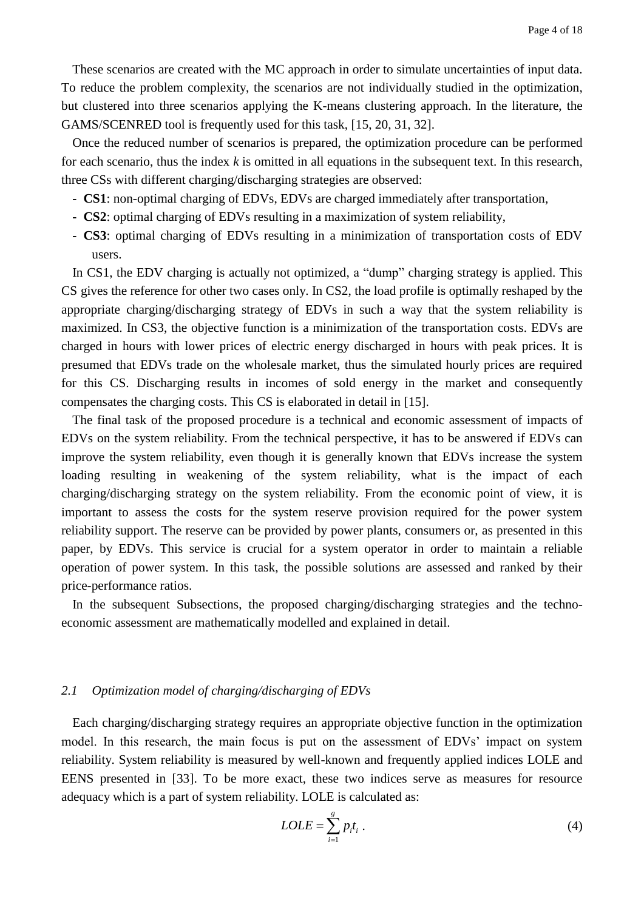These scenarios are created with the MC approach in order to simulate uncertainties of input data. To reduce the problem complexity, the scenarios are not individually studied in the optimization, but clustered into three scenarios applying the K-means clustering approach. In the literature, the GAMS/SCENRED tool is frequently used for this task, [15, 20, 31, 32].

Once the reduced number of scenarios is prepared, the optimization procedure can be performed for each scenario, thus the index *k* is omitted in all equations in the subsequent text. In this research, three CSs with different charging/discharging strategies are observed:

- **- CS1**: non-optimal charging of EDVs, EDVs are charged immediately after transportation,
- **- CS2**: optimal charging of EDVs resulting in a maximization of system reliability,
- **- CS3**: optimal charging of EDVs resulting in a minimization of transportation costs of EDV users.

In CS1, the EDV charging is actually not optimized, a "dump" charging strategy is applied. This CS gives the reference for other two cases only. In CS2, the load profile is optimally reshaped by the appropriate charging/discharging strategy of EDVs in such a way that the system reliability is maximized. In CS3, the objective function is a minimization of the transportation costs. EDVs are charged in hours with lower prices of electric energy discharged in hours with peak prices. It is presumed that EDVs trade on the wholesale market, thus the simulated hourly prices are required for this CS. Discharging results in incomes of sold energy in the market and consequently compensates the charging costs. This CS is elaborated in detail in [15].

The final task of the proposed procedure is a technical and economic assessment of impacts of EDVs on the system reliability. From the technical perspective, it has to be answered if EDVs can improve the system reliability, even though it is generally known that EDVs increase the system loading resulting in weakening of the system reliability, what is the impact of each charging/discharging strategy on the system reliability. From the economic point of view, it is important to assess the costs for the system reserve provision required for the power system reliability support. The reserve can be provided by power plants, consumers or, as presented in this paper, by EDVs. This service is crucial for a system operator in order to maintain a reliable operation of power system. In this task, the possible solutions are assessed and ranked by their price-performance ratios.

In the subsequent Subsections, the proposed charging/discharging strategies and the technoeconomic assessment are mathematically modelled and explained in detail.

# *2.1 Optimization model of charging/discharging of EDVs*

Each charging/discharging strategy requires an appropriate objective function in the optimization model. In this research, the main focus is put on the assessment of EDVs' impact on system reliability. System reliability is measured by well-known and frequently applied indices LOLE and EENS presented in [33]. To be more exact, these two indices serve as measures for resource adequacy which is a part of system reliability. LOLE is calculated as:

$$
LOLE = \sum_{i=1}^{g} p_i t_i \tag{4}
$$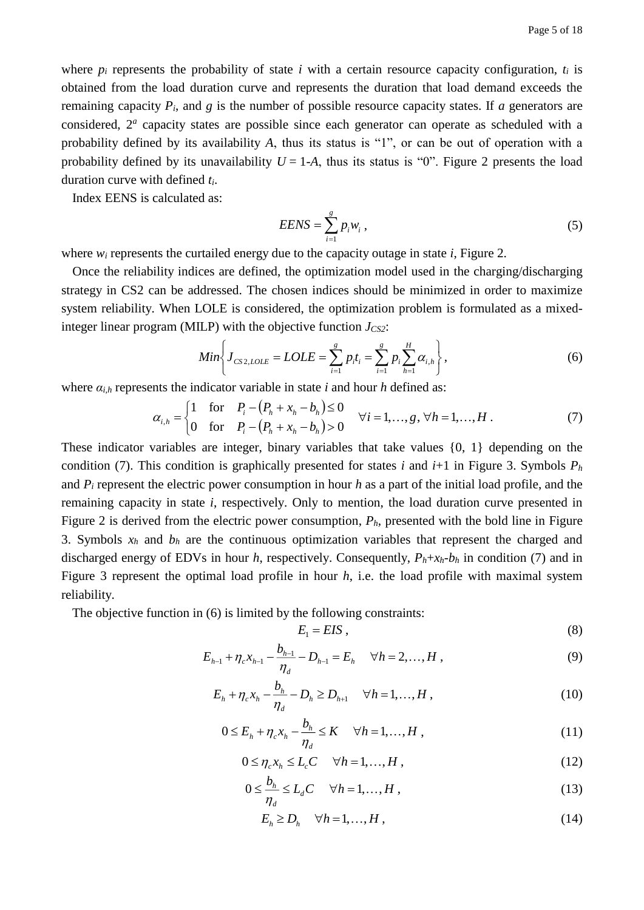where  $p_i$  represents the probability of state *i* with a certain resource capacity configuration,  $t_i$  is obtained from the load duration curve and represents the duration that load demand exceeds the remaining capacity *Pi*, and *g* is the number of possible resource capacity states. If *a* generators are considered,  $2^a$  capacity states are possible since each generator can operate as scheduled with a probability defined by its availability *A*, thus its status is "1", or can be out of operation with a probability defined by its unavailability  $U = 1-A$ , thus its status is "0". Figure 2 presents the load duration curve with defined *ti*.

Index EENS is calculated as:

$$
EENS = \sum_{i=1}^{g} p_i w_i , \qquad (5)
$$

where  $w_i$  represents the curtailed energy due to the capacity outage in state *i*, Figure 2.

Once the reliability indices are defined, the optimization model used in the charging/discharging strategy in CS2 can be addressed. The chosen indices should be minimized in order to maximize system reliability. When LOLE is considered, the optimization problem is formulated as a mixedinteger linear program (MILP) with the objective function  $J_{CS2}$ :

$$
Min\bigg\{J_{CS2,LOLE} = LOLE = \sum_{i=1}^{g} p_i t_i = \sum_{i=1}^{g} p_i \sum_{h=1}^{H} \alpha_{i,h}\bigg\},
$$
(6)

where  $a_{i,h}$  represents the indicator variable in state *i* and hour *h* defined as:

$$
\alpha_{i,h} = \begin{cases} 1 & \text{for} \quad P_i - (P_h + x_h - b_h) \le 0 \\ 0 & \text{for} \quad P_i - (P_h + x_h - b_h) > 0 \end{cases} \quad \forall i = 1, \dots, g, \, \forall h = 1, \dots, H \tag{7}
$$

These indicator variables are integer, binary variables that take values {0, 1} depending on the condition (7). This condition is graphically presented for states *i* and  $i+1$  in Figure 3. Symbols  $P_h$ and *P<sup>i</sup>* represent the electric power consumption in hour *h* as a part of the initial load profile, and the remaining capacity in state *i*, respectively. Only to mention, the load duration curve presented in Figure 2 is derived from the electric power consumption, *Ph*, presented with the bold line in Figure 3. Symbols  $x_h$  and  $b_h$  are the continuous optimization variables that represent the charged and discharged energy of EDVs in hour *h*, respectively. Consequently,  $P_h + x_h - b_h$  in condition (7) and in Figure 3 represent the optimal load profile in hour *h*, i.e. the load profile with maximal system reliability.

The objective function in (6) is limited by the following constraints:

$$
E_1 = EIS \t{.} \t(8)
$$

$$
E_{h-1} + \eta_c x_{h-1} - \frac{b_{h-1}}{\eta_d} - D_{h-1} = E_h \quad \forall h = 2, ..., H,
$$
\n(9)

$$
E_h + \eta_c x_h - \frac{b_h}{\eta_d} - D_h \ge D_{h+1} \quad \forall h = 1, ..., H,
$$
\n(10)

$$
0 \le E_h + \eta_c x_h - \frac{b_h}{\eta_d} \le K \quad \forall h = 1, \dots, H,
$$
\n(11)

$$
0 \le \eta_c x_h \le L_c C \quad \forall h = 1, ..., H,
$$
\n(12)

$$
0 \le \frac{b_h}{\eta_d} \le L_d C \quad \forall h = 1, ..., H,
$$
\n(13)

$$
E_h \ge D_h \quad \forall h = 1, \dots, H \tag{14}
$$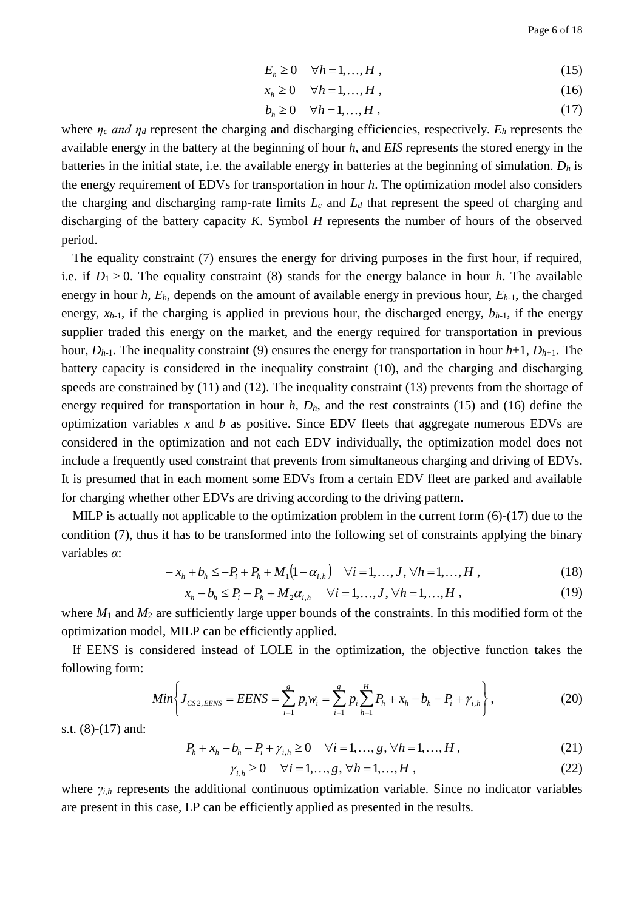$$
E_h \ge 0 \quad \forall h = 1, \dots, H \tag{15}
$$

$$
x_h \ge 0 \quad \forall h = 1, \dots, H \tag{16}
$$

$$
b_h \ge 0 \quad \forall h = 1, \dots, H \tag{17}
$$

where *η<sup>c</sup> and η<sup>d</sup>* represent the charging and discharging efficiencies, respectively. *E<sup>h</sup>* represents the available energy in the battery at the beginning of hour *h*, and *EIS* represents the stored energy in the batteries in the initial state, i.e. the available energy in batteries at the beginning of simulation. *D<sup>h</sup>* is the energy requirement of EDVs for transportation in hour *h*. The optimization model also considers the charging and discharging ramp-rate limits *L<sup>c</sup>* and *L<sup>d</sup>* that represent the speed of charging and discharging of the battery capacity *K*. Symbol *H* represents the number of hours of the observed period.

The equality constraint (7) ensures the energy for driving purposes in the first hour, if required, i.e. if  $D_1 > 0$ . The equality constraint (8) stands for the energy balance in hour *h*. The available energy in hour *h*, *Eh*, depends on the amount of available energy in previous hour, *Eh*-1, the charged energy,  $x_{h-1}$ , if the charging is applied in previous hour, the discharged energy,  $b_{h-1}$ , if the energy supplier traded this energy on the market, and the energy required for transportation in previous hour,  $D_{h-1}$ . The inequality constraint (9) ensures the energy for transportation in hour  $h+1$ ,  $D_{h+1}$ . The battery capacity is considered in the inequality constraint (10), and the charging and discharging speeds are constrained by (11) and (12). The inequality constraint (13) prevents from the shortage of energy required for transportation in hour *h*, *Dh*, and the rest constraints (15) and (16) define the optimization variables *x* and *b* as positive. Since EDV fleets that aggregate numerous EDVs are considered in the optimization and not each EDV individually, the optimization model does not include a frequently used constraint that prevents from simultaneous charging and driving of EDVs. It is presumed that in each moment some EDVs from a certain EDV fleet are parked and available for charging whether other EDVs are driving according to the driving pattern.

MILP is actually not applicable to the optimization problem in the current form  $(6)-(17)$  due to the condition (7), thus it has to be transformed into the following set of constraints applying the binary variables *α*:

$$
-x_h + b_h \le -P_i + P_h + M_1(1 - \alpha_{i,h}) \quad \forall i = 1,...,J, \forall h = 1,...,H,
$$
\n(18)

$$
x_h - b_h \le P_i - P_h + M_2 \alpha_{i,h} \quad \forall i = 1,...,J, \forall h = 1,...,H,
$$
 (19)

where  $M_1$  and  $M_2$  are sufficiently large upper bounds of the constraints. In this modified form of the optimization model, MILP can be efficiently applied.

If EENS is considered instead of LOLE in the optimization, the objective function takes the following form:

$$
Min\bigg\{J_{CS2,EENS} = EENS = \sum_{i=1}^{g} p_i w_i = \sum_{i=1}^{g} p_i \sum_{h=1}^{H} P_h + x_h - b_h - P_i + \gamma_{i,h}\bigg\},
$$
(20)

s.t. (8)-(17) and:

$$
P_h + x_h - b_h - P_i + \gamma_{i,h} \ge 0 \quad \forall i = 1, ..., g, \forall h = 1, ..., H,
$$
\n(21)

$$
\gamma_{i,h} \ge 0 \quad \forall i = 1, ..., g, \forall h = 1, ..., H,
$$
\n(22)

where *γi*,*<sup>h</sup>* represents the additional continuous optimization variable. Since no indicator variables are present in this case, LP can be efficiently applied as presented in the results.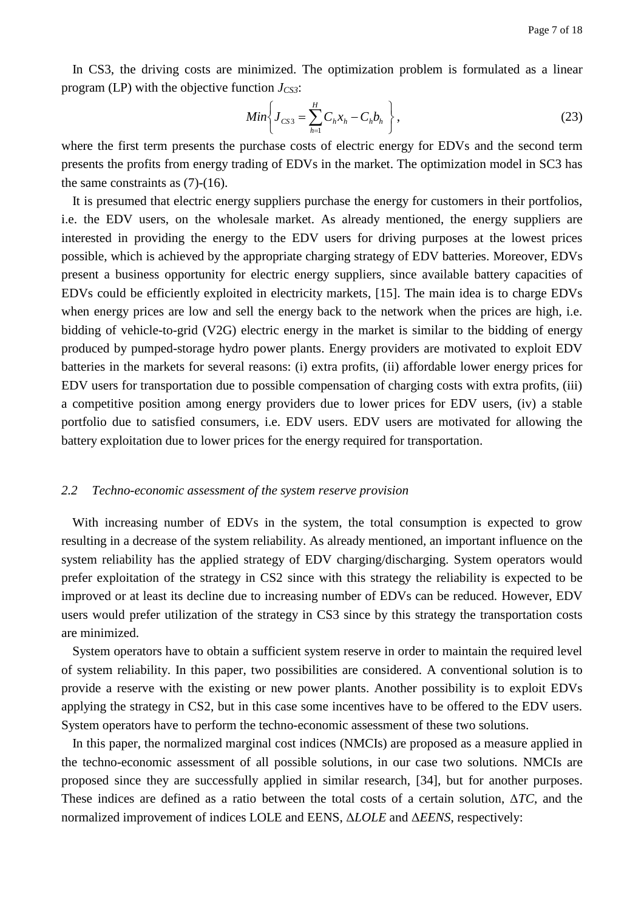In CS3, the driving costs are minimized. The optimization problem is formulated as a linear program (LP) with the objective function *JCS3*:

$$
Min\bigg\{J_{CS3} = \sum_{h=1}^{H} C_h x_h - C_h b_h\bigg\},
$$
\n(23)

where the first term presents the purchase costs of electric energy for EDVs and the second term presents the profits from energy trading of EDVs in the market. The optimization model in SC3 has the same constraints as (7)-(16).

It is presumed that electric energy suppliers purchase the energy for customers in their portfolios, i.e. the EDV users, on the wholesale market. As already mentioned, the energy suppliers are interested in providing the energy to the EDV users for driving purposes at the lowest prices possible, which is achieved by the appropriate charging strategy of EDV batteries. Moreover, EDVs present a business opportunity for electric energy suppliers, since available battery capacities of EDVs could be efficiently exploited in electricity markets, [15]. The main idea is to charge EDVs when energy prices are low and sell the energy back to the network when the prices are high, i.e. bidding of vehicle-to-grid (V2G) electric energy in the market is similar to the bidding of energy produced by pumped-storage hydro power plants. Energy providers are motivated to exploit EDV batteries in the markets for several reasons: (i) extra profits, (ii) affordable lower energy prices for EDV users for transportation due to possible compensation of charging costs with extra profits, (iii) a competitive position among energy providers due to lower prices for EDV users, (iv) a stable portfolio due to satisfied consumers, i.e. EDV users. EDV users are motivated for allowing the battery exploitation due to lower prices for the energy required for transportation.

#### *2.2 Techno-economic assessment of the system reserve provision*

With increasing number of EDVs in the system, the total consumption is expected to grow resulting in a decrease of the system reliability. As already mentioned, an important influence on the system reliability has the applied strategy of EDV charging/discharging. System operators would prefer exploitation of the strategy in CS2 since with this strategy the reliability is expected to be improved or at least its decline due to increasing number of EDVs can be reduced. However, EDV users would prefer utilization of the strategy in CS3 since by this strategy the transportation costs are minimized.

System operators have to obtain a sufficient system reserve in order to maintain the required level of system reliability. In this paper, two possibilities are considered. A conventional solution is to provide a reserve with the existing or new power plants. Another possibility is to exploit EDVs applying the strategy in CS2, but in this case some incentives have to be offered to the EDV users. System operators have to perform the techno-economic assessment of these two solutions.

In this paper, the normalized marginal cost indices (NMCIs) are proposed as a measure applied in the techno-economic assessment of all possible solutions, in our case two solutions. NMCIs are proposed since they are successfully applied in similar research, [34], but for another purposes. These indices are defined as a ratio between the total costs of a certain solution, Δ*TC*, and the normalized improvement of indices LOLE and EENS, Δ*LOLE* and Δ*EENS*, respectively: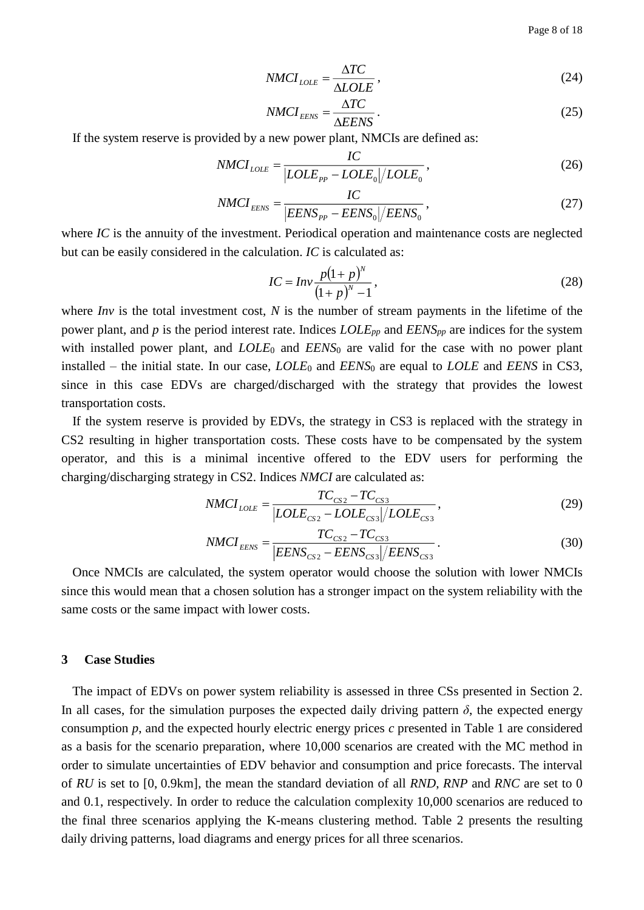$$
NMCI_{LOLE} = \frac{\Delta TC}{\Delta LOLE},\tag{24}
$$

$$
NMCI_{EENS} = \frac{\Delta TC}{\Delta EENS} \,. \tag{25}
$$

If the system reserve is provided by a new power plant, NMCIs are defined as:

$$
NMCI_{LOLE} = \frac{IC}{|LOLE_{PP} - LOLE_0|/LOLE_0},\tag{26}
$$

$$
NMCI_{EENS} = \frac{IC}{|EENS_{PP} - EENS_0|/EENS_0},
$$
\n(27)

where *IC* is the annuity of the investment. Periodical operation and maintenance costs are neglected but can be easily considered in the calculation. *IC* is calculated as:

$$
IC = Inv \frac{p(1+p)^N}{(1+p)^N - 1},
$$
\n(28)

where *Inv* is the total investment cost, *N* is the number of stream payments in the lifetime of the power plant, and *p* is the period interest rate. Indices *LOLEpp* and *EENSpp* are indices for the system with installed power plant, and *LOLE*<sub>0</sub> and *EENS*<sub>0</sub> are valid for the case with no power plant installed – the initial state. In our case, *LOLE*<sup>0</sup> and *EENS*<sup>0</sup> are equal to *LOLE* and *EENS* in CS3, since in this case EDVs are charged/discharged with the strategy that provides the lowest transportation costs.

If the system reserve is provided by EDVs, the strategy in CS3 is replaced with the strategy in CS2 resulting in higher transportation costs. These costs have to be compensated by the system operator, and this is a minimal incentive offered to the EDV users for performing the charging/discharging strategy in CS2. Indices *NMCI* are calculated as:

$$
NMCI_{LOLE} = \frac{TC_{CS2} - TC_{CS3}}{|LOLE_{CS2} - LOLE_{CS3}|/LOLE_{CS3}|},
$$
\n(29)

$$
NMCI_{EENS} = \frac{TC_{CS2} - TC_{CS3}}{|EENS_{CS2} - EENS_{CS3}|/EENS_{CS3}}.
$$
\n(30)

Once NMCIs are calculated, the system operator would choose the solution with lower NMCIs since this would mean that a chosen solution has a stronger impact on the system reliability with the same costs or the same impact with lower costs.

#### **3 Case Studies**

The impact of EDVs on power system reliability is assessed in three CSs presented in Section 2. In all cases, for the simulation purposes the expected daily driving pattern  $\delta$ , the expected energy consumption *p*, and the expected hourly electric energy prices *c* presented in Table 1 are considered as a basis for the scenario preparation, where 10,000 scenarios are created with the MC method in order to simulate uncertainties of EDV behavior and consumption and price forecasts. The interval of *RU* is set to [0, 0.9km], the mean the standard deviation of all *RND*, *RNP* and *RNC* are set to 0 and 0.1, respectively. In order to reduce the calculation complexity 10,000 scenarios are reduced to the final three scenarios applying the K-means clustering method. Table 2 presents the resulting daily driving patterns, load diagrams and energy prices for all three scenarios.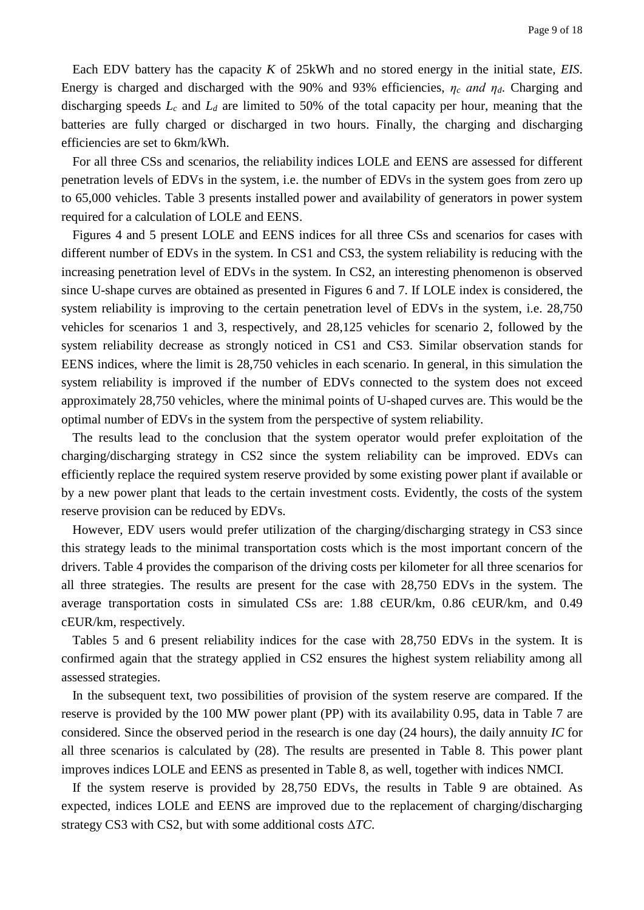Each EDV battery has the capacity *K* of 25kWh and no stored energy in the initial state, *EIS*. Energy is charged and discharged with the 90% and 93% efficiencies, *η<sup>c</sup> and ηd*. Charging and discharging speeds *L<sup>c</sup>* and *L<sup>d</sup>* are limited to 50% of the total capacity per hour, meaning that the batteries are fully charged or discharged in two hours. Finally, the charging and discharging efficiencies are set to 6km/kWh.

For all three CSs and scenarios, the reliability indices LOLE and EENS are assessed for different penetration levels of EDVs in the system, i.e. the number of EDVs in the system goes from zero up to 65,000 vehicles. Table 3 presents installed power and availability of generators in power system required for a calculation of LOLE and EENS.

Figures 4 and 5 present LOLE and EENS indices for all three CSs and scenarios for cases with different number of EDVs in the system. In CS1 and CS3, the system reliability is reducing with the increasing penetration level of EDVs in the system. In CS2, an interesting phenomenon is observed since U-shape curves are obtained as presented in Figures 6 and 7. If LOLE index is considered, the system reliability is improving to the certain penetration level of EDVs in the system, i.e. 28,750 vehicles for scenarios 1 and 3, respectively, and 28,125 vehicles for scenario 2, followed by the system reliability decrease as strongly noticed in CS1 and CS3. Similar observation stands for EENS indices, where the limit is 28,750 vehicles in each scenario. In general, in this simulation the system reliability is improved if the number of EDVs connected to the system does not exceed approximately 28,750 vehicles, where the minimal points of U-shaped curves are. This would be the optimal number of EDVs in the system from the perspective of system reliability.

The results lead to the conclusion that the system operator would prefer exploitation of the charging/discharging strategy in CS2 since the system reliability can be improved. EDVs can efficiently replace the required system reserve provided by some existing power plant if available or by a new power plant that leads to the certain investment costs. Evidently, the costs of the system reserve provision can be reduced by EDVs.

However, EDV users would prefer utilization of the charging/discharging strategy in CS3 since this strategy leads to the minimal transportation costs which is the most important concern of the drivers. Table 4 provides the comparison of the driving costs per kilometer for all three scenarios for all three strategies. The results are present for the case with 28,750 EDVs in the system. The average transportation costs in simulated CSs are: 1.88 cEUR/km, 0.86 cEUR/km, and 0.49 cEUR/km, respectively.

Tables 5 and 6 present reliability indices for the case with 28,750 EDVs in the system. It is confirmed again that the strategy applied in CS2 ensures the highest system reliability among all assessed strategies.

In the subsequent text, two possibilities of provision of the system reserve are compared. If the reserve is provided by the 100 MW power plant (PP) with its availability 0.95, data in Table 7 are considered. Since the observed period in the research is one day (24 hours), the daily annuity *IC* for all three scenarios is calculated by (28). The results are presented in Table 8. This power plant improves indices LOLE and EENS as presented in Table 8, as well, together with indices NMCI.

If the system reserve is provided by 28,750 EDVs, the results in Table 9 are obtained. As expected, indices LOLE and EENS are improved due to the replacement of charging/discharging strategy CS3 with CS2, but with some additional costs Δ*TC*.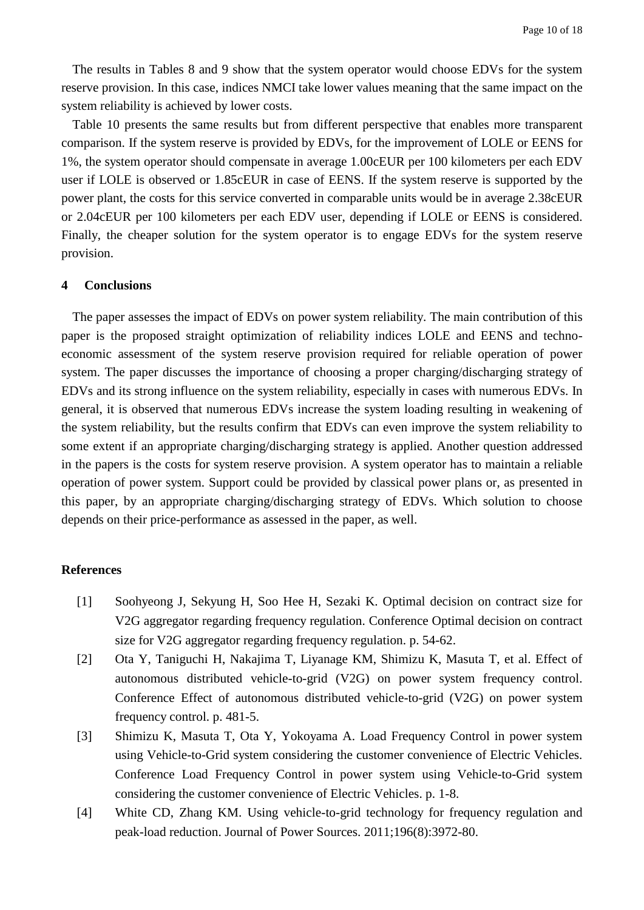The results in Tables 8 and 9 show that the system operator would choose EDVs for the system reserve provision. In this case, indices NMCI take lower values meaning that the same impact on the system reliability is achieved by lower costs.

Table 10 presents the same results but from different perspective that enables more transparent comparison. If the system reserve is provided by EDVs, for the improvement of LOLE or EENS for 1%, the system operator should compensate in average 1.00cEUR per 100 kilometers per each EDV user if LOLE is observed or 1.85cEUR in case of EENS. If the system reserve is supported by the power plant, the costs for this service converted in comparable units would be in average 2.38cEUR or 2.04cEUR per 100 kilometers per each EDV user, depending if LOLE or EENS is considered. Finally, the cheaper solution for the system operator is to engage EDVs for the system reserve provision.

#### **4 Conclusions**

The paper assesses the impact of EDVs on power system reliability. The main contribution of this paper is the proposed straight optimization of reliability indices LOLE and EENS and technoeconomic assessment of the system reserve provision required for reliable operation of power system. The paper discusses the importance of choosing a proper charging/discharging strategy of EDVs and its strong influence on the system reliability, especially in cases with numerous EDVs. In general, it is observed that numerous EDVs increase the system loading resulting in weakening of the system reliability, but the results confirm that EDVs can even improve the system reliability to some extent if an appropriate charging/discharging strategy is applied. Another question addressed in the papers is the costs for system reserve provision. A system operator has to maintain a reliable operation of power system. Support could be provided by classical power plans or, as presented in this paper, by an appropriate charging/discharging strategy of EDVs. Which solution to choose depends on their price-performance as assessed in the paper, as well.

#### **References**

- [1] Soohyeong J, Sekyung H, Soo Hee H, Sezaki K. Optimal decision on contract size for V2G aggregator regarding frequency regulation. Conference Optimal decision on contract size for V2G aggregator regarding frequency regulation. p. 54-62.
- [2] Ota Y, Taniguchi H, Nakajima T, Liyanage KM, Shimizu K, Masuta T, et al. Effect of autonomous distributed vehicle-to-grid (V2G) on power system frequency control. Conference Effect of autonomous distributed vehicle-to-grid (V2G) on power system frequency control. p. 481-5.
- [3] Shimizu K, Masuta T, Ota Y, Yokoyama A. Load Frequency Control in power system using Vehicle-to-Grid system considering the customer convenience of Electric Vehicles. Conference Load Frequency Control in power system using Vehicle-to-Grid system considering the customer convenience of Electric Vehicles. p. 1-8.
- [4] White CD, Zhang KM. Using vehicle-to-grid technology for frequency regulation and peak-load reduction. Journal of Power Sources. 2011;196(8):3972-80.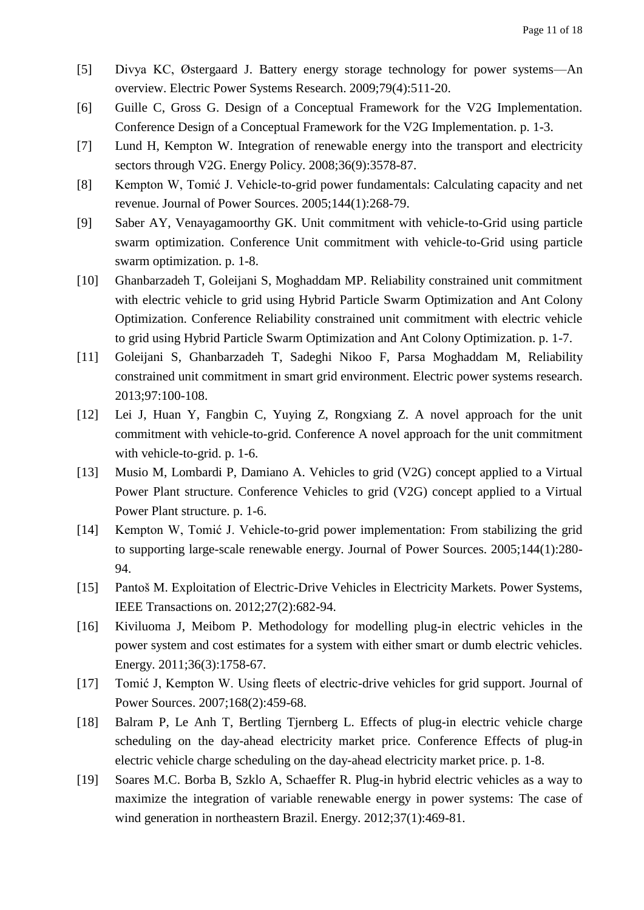- [5] Divya KC, Østergaard J. Battery energy storage technology for power systems—An overview. Electric Power Systems Research. 2009;79(4):511-20.
- [6] Guille C, Gross G. Design of a Conceptual Framework for the V2G Implementation. Conference Design of a Conceptual Framework for the V2G Implementation. p. 1-3.
- [7] Lund H, Kempton W. Integration of renewable energy into the transport and electricity sectors through V2G. Energy Policy. 2008;36(9):3578-87.
- [8] Kempton W, Tomić J. Vehicle-to-grid power fundamentals: Calculating capacity and net revenue. Journal of Power Sources. 2005;144(1):268-79.
- [9] Saber AY, Venayagamoorthy GK. Unit commitment with vehicle-to-Grid using particle swarm optimization. Conference Unit commitment with vehicle-to-Grid using particle swarm optimization. p. 1-8.
- [10] Ghanbarzadeh T, Goleijani S, Moghaddam MP. Reliability constrained unit commitment with electric vehicle to grid using Hybrid Particle Swarm Optimization and Ant Colony Optimization. Conference Reliability constrained unit commitment with electric vehicle to grid using Hybrid Particle Swarm Optimization and Ant Colony Optimization. p. 1-7.
- [11] Goleijani S, Ghanbarzadeh T, Sadeghi Nikoo F, Parsa Moghaddam M, Reliability constrained unit commitment in smart grid environment. Electric power systems research. 2013;97:100-108.
- [12] Lei J, Huan Y, Fangbin C, Yuying Z, Rongxiang Z. A novel approach for the unit commitment with vehicle-to-grid. Conference A novel approach for the unit commitment with vehicle-to-grid. p. 1-6.
- [13] Musio M, Lombardi P, Damiano A. Vehicles to grid (V2G) concept applied to a Virtual Power Plant structure. Conference Vehicles to grid (V2G) concept applied to a Virtual Power Plant structure. p. 1-6.
- [14] Kempton W, Tomić J. Vehicle-to-grid power implementation: From stabilizing the grid to supporting large-scale renewable energy. Journal of Power Sources. 2005;144(1):280- 94.
- [15] Pantoš M. Exploitation of Electric-Drive Vehicles in Electricity Markets. Power Systems, IEEE Transactions on. 2012;27(2):682-94.
- [16] Kiviluoma J, Meibom P. Methodology for modelling plug-in electric vehicles in the power system and cost estimates for a system with either smart or dumb electric vehicles. Energy. 2011;36(3):1758-67.
- [17] Tomić J, Kempton W. Using fleets of electric-drive vehicles for grid support. Journal of Power Sources. 2007;168(2):459-68.
- [18] Balram P, Le Anh T, Bertling Tjernberg L. Effects of plug-in electric vehicle charge scheduling on the day-ahead electricity market price. Conference Effects of plug-in electric vehicle charge scheduling on the day-ahead electricity market price. p. 1-8.
- [19] Soares M.C. Borba B, Szklo A, Schaeffer R. Plug-in hybrid electric vehicles as a way to maximize the integration of variable renewable energy in power systems: The case of wind generation in northeastern Brazil. Energy. 2012;37(1):469-81.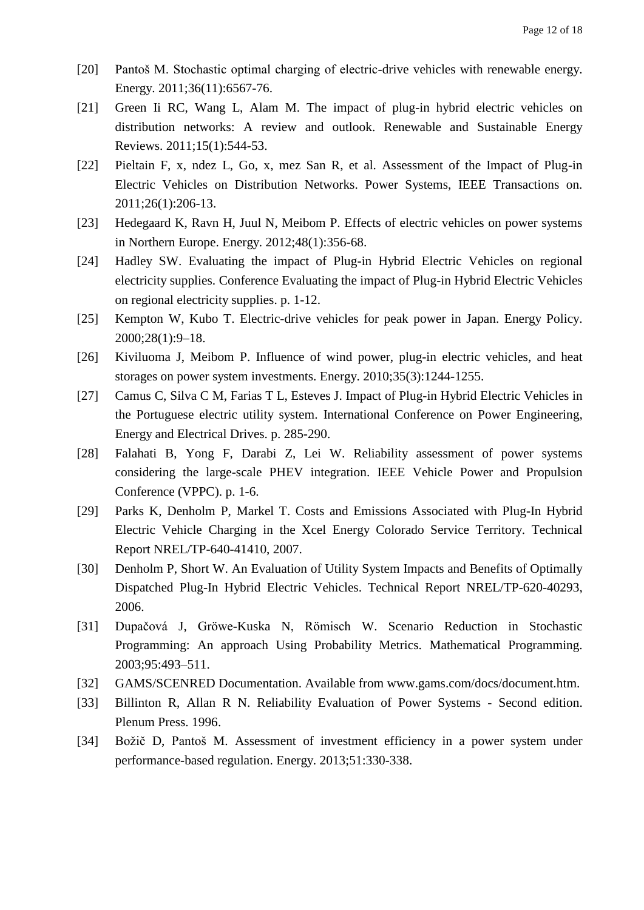- [20] Pantoš M. Stochastic optimal charging of electric-drive vehicles with renewable energy. Energy. 2011;36(11):6567-76.
- [21] Green Ii RC, Wang L, Alam M. The impact of plug-in hybrid electric vehicles on distribution networks: A review and outlook. Renewable and Sustainable Energy Reviews. 2011;15(1):544-53.
- [22] Pieltain F, x, ndez L, Go, x, mez San R, et al. Assessment of the Impact of Plug-in Electric Vehicles on Distribution Networks. Power Systems, IEEE Transactions on. 2011;26(1):206-13.
- [23] Hedegaard K, Ravn H, Juul N, Meibom P. Effects of electric vehicles on power systems in Northern Europe. Energy. 2012;48(1):356-68.
- [24] Hadley SW. Evaluating the impact of Plug-in Hybrid Electric Vehicles on regional electricity supplies. Conference Evaluating the impact of Plug-in Hybrid Electric Vehicles on regional electricity supplies. p. 1-12.
- [25] Kempton W, Kubo T. Electric-drive vehicles for peak power in Japan. Energy Policy. 2000;28(1):9–18.
- [26] Kiviluoma J, Meibom P. Influence of wind power, plug-in electric vehicles, and heat storages on power system investments. Energy. 2010;35(3):1244-1255.
- [27] Camus C, Silva C M, Farias T L, Esteves J. Impact of Plug-in Hybrid Electric Vehicles in the Portuguese electric utility system. International Conference on Power Engineering, Energy and Electrical Drives. p. 285-290.
- [28] Falahati B, Yong F, Darabi Z, Lei W. Reliability assessment of power systems considering the large-scale PHEV integration. IEEE Vehicle Power and Propulsion Conference (VPPC). p. 1-6.
- [29] Parks K, Denholm P, Markel T. Costs and Emissions Associated with Plug-In Hybrid Electric Vehicle Charging in the Xcel Energy Colorado Service Territory. Technical Report NREL/TP-640-41410, 2007.
- [30] Denholm P, Short W. An Evaluation of Utility System Impacts and Benefits of Optimally Dispatched Plug-In Hybrid Electric Vehicles. Technical Report NREL/TP-620-40293, 2006.
- [31] Dupačová J, Gröwe-Kuska N, Römisch W. Scenario Reduction in Stochastic Programming: An approach Using Probability Metrics. Mathematical Programming. 2003;95:493–511.
- [32] GAMS/SCENRED Documentation. Available from www.gams.com/docs/document.htm.
- [33] Billinton R, Allan R N. Reliability Evaluation of Power Systems Second edition. Plenum Press. 1996.
- [34] Božič D, Pantoš M. Assessment of investment efficiency in a power system under performance-based regulation. Energy. 2013;51:330-338.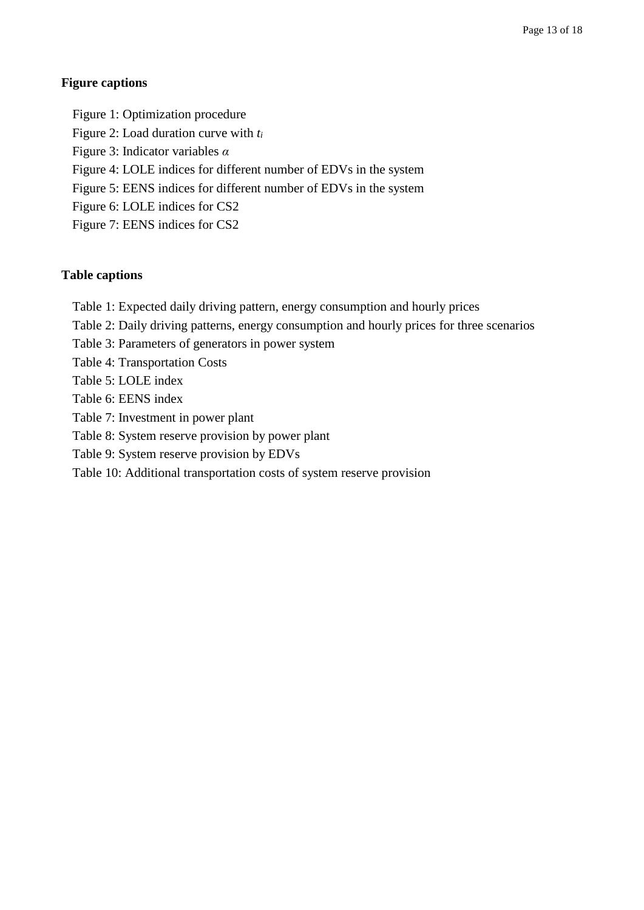## **Figure captions**

Figure 1: Optimization procedure Figure 2: Load duration curve with *t<sup>i</sup>* Figure 3: Indicator variables *α* Figure 4: LOLE indices for different number of EDVs in the system Figure 5: EENS indices for different number of EDVs in the system Figure 6: LOLE indices for CS2 Figure 7: EENS indices for CS2

# **Table captions**

- Table 1: Expected daily driving pattern, energy consumption and hourly prices
- Table 2: Daily driving patterns, energy consumption and hourly prices for three scenarios
- Table 3: Parameters of generators in power system
- Table 4: Transportation Costs
- Table 5: LOLE index
- Table 6: EENS index
- Table 7: Investment in power plant
- Table 8: System reserve provision by power plant
- Table 9: System reserve provision by EDVs
- Table 10: Additional transportation costs of system reserve provision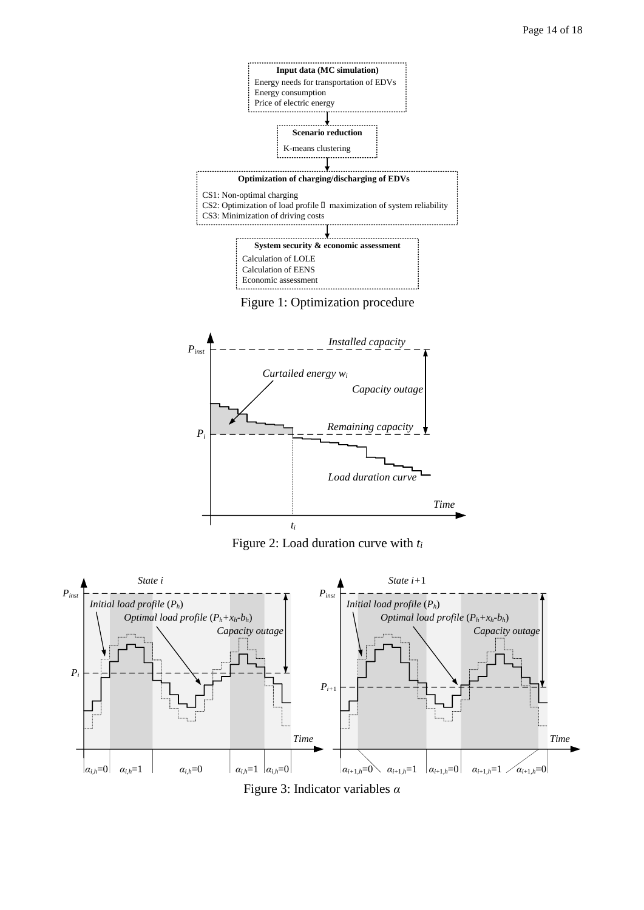



Figure 2: Load duration curve with *t<sup>i</sup>*



Figure 3: Indicator variables *α*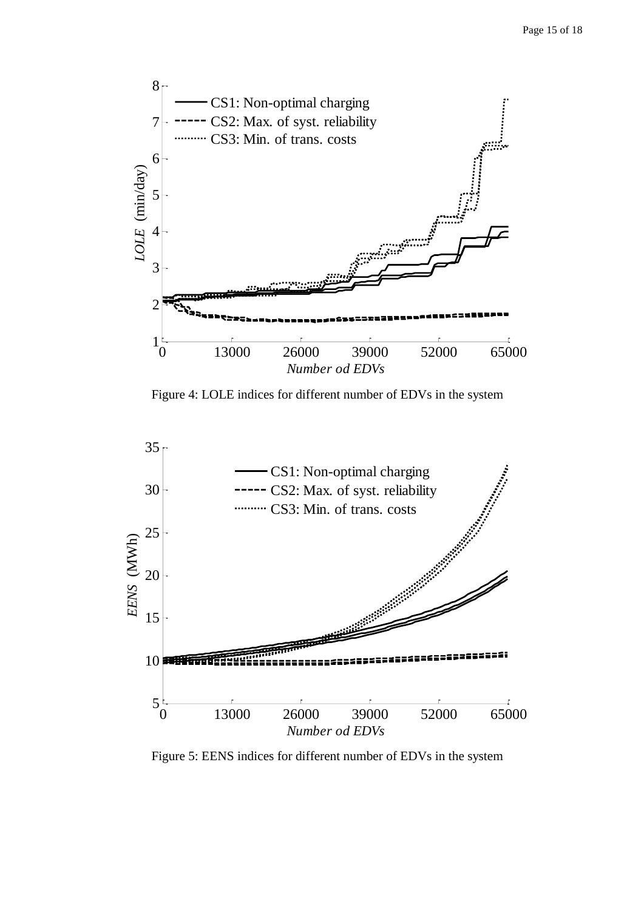

Figure 4: LOLE indices for different number of EDVs in the system



Figure 5: EENS indices for different number of EDVs in the system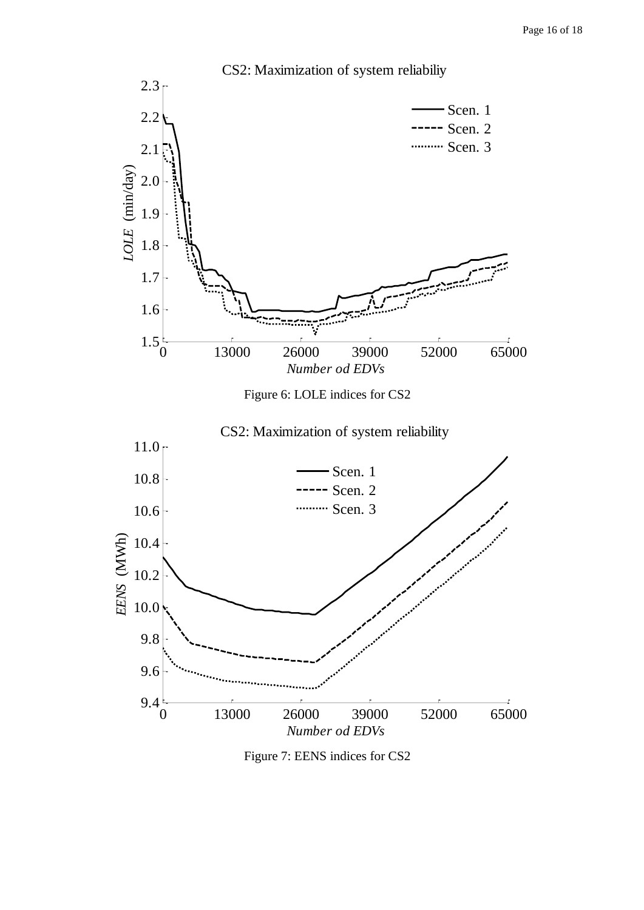

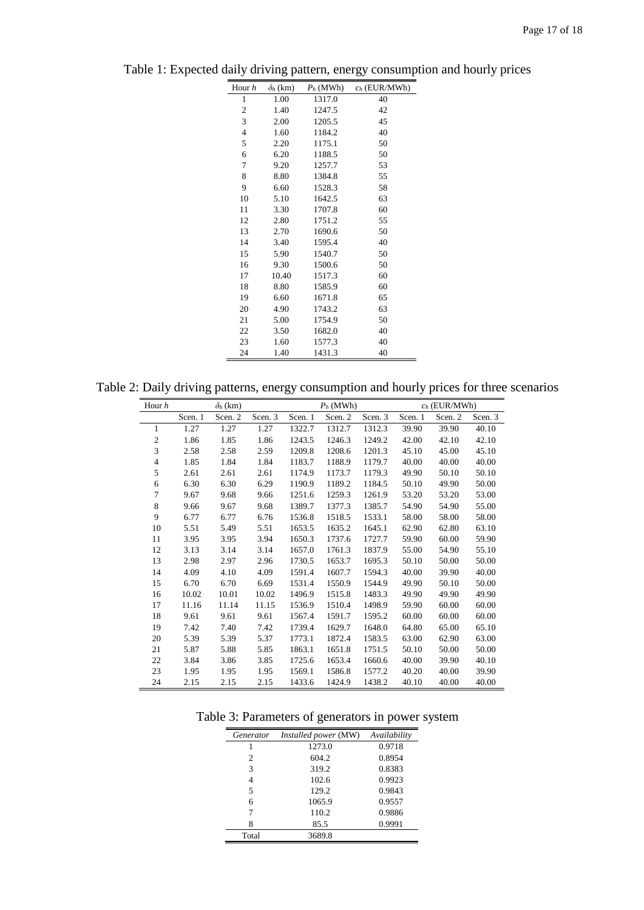| Hour h           | $\delta_h$ (km) | $P_h$ (MWh) | $c_h$ (EUR/MWh) |
|------------------|-----------------|-------------|-----------------|
| 1                | 1.00            | 1317.0      | 40              |
| $\boldsymbol{2}$ | 1.40            | 1247.5      | 42              |
| 3                | 2.00            | 1205.5      | 45              |
| $\overline{4}$   | 1.60            | 1184.2      | 40              |
| 5                | 2.20            | 1175.1      | 50              |
| 6                | 6.20            | 1188.5      | 50              |
| 7                | 9.20            | 1257.7      | 53              |
| 8                | 8.80            | 1384.8      | 55              |
| 9                | 6.60            | 1528.3      | 58              |
| 10               | 5.10            | 1642.5      | 63              |
| 11               | 3.30            | 1707.8      | 60              |
| 12               | 2.80            | 1751.2      | 55              |
| 13               | 2.70            | 1690.6      | 50              |
| 14               | 3.40            | 1595.4      | 40              |
| 15               | 5.90            | 1540.7      | 50              |
| 16               | 9.30            | 1500.6      | 50              |
| 17               | 10.40           | 1517.3      | 60              |
| 18               | 8.80            | 1585.9      | 60              |
| 19               | 6.60            | 1671.8      | 65              |
| 20               | 4.90            | 1743.2      | 63              |
| 21               | 5.00            | 1754.9      | 50              |
| 22               | 3.50            | 1682.0      | 40              |
| 23               | 1.60            | 1577.3      | 40              |
| 24               | 1.40            | 1431.3      | 40              |

Table 1: Expected daily driving pattern, energy consumption and hourly prices

Table 2: Daily driving patterns, energy consumption and hourly prices for three scenarios

| Hour $h$       |         | $\delta_h$ (km) |         |         | $P_h$ (MWh) |         |         | $c_h$ (EUR/MWh) |         |
|----------------|---------|-----------------|---------|---------|-------------|---------|---------|-----------------|---------|
|                | Scen. 1 | Scen. 2         | Scen. 3 | Scen. 1 | Scen. 2     | Scen. 3 | Scen. 1 | Scen. 2         | Scen. 3 |
| 1              | 1.27    | 1.27            | 1.27    | 1322.7  | 1312.7      | 1312.3  | 39.90   | 39.90           | 40.10   |
| $\mathfrak{2}$ | 1.86    | 1.85            | 1.86    | 1243.5  | 1246.3      | 1249.2  | 42.00   | 42.10           | 42.10   |
| 3              | 2.58    | 2.58            | 2.59    | 1209.8  | 1208.6      | 1201.3  | 45.10   | 45.00           | 45.10   |
| $\overline{4}$ | 1.85    | 1.84            | 1.84    | 1183.7  | 1188.9      | 1179.7  | 40.00   | 40.00           | 40.00   |
| 5              | 2.61    | 2.61            | 2.61    | 1174.9  | 1173.7      | 1179.3  | 49.90   | 50.10           | 50.10   |
| 6              | 6.30    | 6.30            | 6.29    | 1190.9  | 1189.2      | 1184.5  | 50.10   | 49.90           | 50.00   |
| 7              | 9.67    | 9.68            | 9.66    | 1251.6  | 1259.3      | 1261.9  | 53.20   | 53.20           | 53.00   |
| 8              | 9.66    | 9.67            | 9.68    | 1389.7  | 1377.3      | 1385.7  | 54.90   | 54.90           | 55.00   |
| 9              | 6.77    | 6.77            | 6.76    | 1536.8  | 1518.5      | 1533.1  | 58.00   | 58.00           | 58.00   |
| 10             | 5.51    | 5.49            | 5.51    | 1653.5  | 1635.2      | 1645.1  | 62.90   | 62.80           | 63.10   |
| 11             | 3.95    | 3.95            | 3.94    | 1650.3  | 1737.6      | 1727.7  | 59.90   | 60.00           | 59.90   |
| 12             | 3.13    | 3.14            | 3.14    | 1657.0  | 1761.3      | 1837.9  | 55.00   | 54.90           | 55.10   |
| 13             | 2.98    | 2.97            | 2.96    | 1730.5  | 1653.7      | 1695.3  | 50.10   | 50.00           | 50.00   |
| 14             | 4.09    | 4.10            | 4.09    | 1591.4  | 1607.7      | 1594.3  | 40.00   | 39.90           | 40.00   |
| 15             | 6.70    | 6.70            | 6.69    | 1531.4  | 1550.9      | 1544.9  | 49.90   | 50.10           | 50.00   |
| 16             | 10.02   | 10.01           | 10.02   | 1496.9  | 1515.8      | 1483.3  | 49.90   | 49.90           | 49.90   |
| 17             | 11.16   | 11.14           | 11.15   | 1536.9  | 1510.4      | 1498.9  | 59.90   | 60.00           | 60.00   |
| 18             | 9.61    | 9.61            | 9.61    | 1567.4  | 1591.7      | 1595.2  | 60.00   | 60.00           | 60.00   |
| 19             | 7.42    | 7.40            | 7.42    | 1739.4  | 1629.7      | 1648.0  | 64.80   | 65.00           | 65.10   |
| 20             | 5.39    | 5.39            | 5.37    | 1773.1  | 1872.4      | 1583.5  | 63.00   | 62.90           | 63.00   |
| 21             | 5.87    | 5.88            | 5.85    | 1863.1  | 1651.8      | 1751.5  | 50.10   | 50.00           | 50.00   |
| 22             | 3.84    | 3.86            | 3.85    | 1725.6  | 1653.4      | 1660.6  | 40.00   | 39.90           | 40.10   |
| 23             | 1.95    | 1.95            | 1.95    | 1569.1  | 1586.8      | 1577.2  | 40.20   | 40.00           | 39.90   |
| 24             | 2.15    | 2.15            | 2.15    | 1433.6  | 1424.9      | 1438.2  | 40.10   | 40.00           | 40.00   |

Table 3: Parameters of generators in power system

| Generator      | Installed power (MW) | Availability |
|----------------|----------------------|--------------|
|                | 1273.0               | 0.9718       |
| $\overline{c}$ | 604.2                | 0.8954       |
| 3              | 319.2                | 0.8383       |
| 4              | 102.6                | 0.9923       |
| 5              | 129.2                | 0.9843       |
| 6              | 1065.9               | 0.9557       |
| 7              | 110.2                | 0.9886       |
| 8              | 85.5                 | 0.9991       |
| Total          | 3689.8               |              |